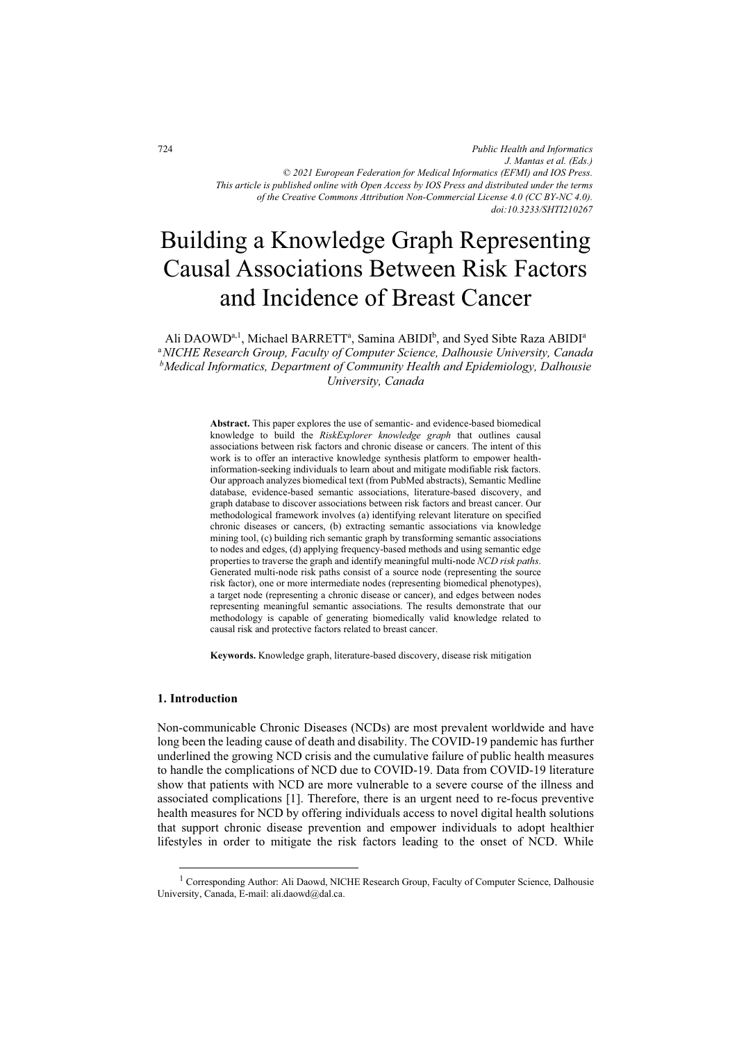# Building a Knowledge Graph Representing Causal Associations Between Risk Factors and Incidence of Breast Cancer

Ali DAOWD<sup>a, 1</sup>, Michael BARRETT<sup>a</sup>, Samina ABIDI<sup>b</sup>, and Syed Sibte Raza ABIDI<sup>a</sup> <sup>a</sup>NICHE Research Group, Faculty of Computer Science, Dalhousie University, Canada b Medical Informatics, Department of Community Health and Epidemiology, Dalhousie University, Canada

> Abstract. This paper explores the use of semantic- and evidence-based biomedical knowledge to build the RiskExplorer knowledge graph that outlines causal associations between risk factors and chronic disease or cancers. The intent of this work is to offer an interactive knowledge synthesis platform to empower healthinformation-seeking individuals to learn about and mitigate modifiable risk factors. Our approach analyzes biomedical text (from PubMed abstracts), Semantic Medline database, evidence-based semantic associations, literature-based discovery, and graph database to discover associations between risk factors and breast cancer. Our methodological framework involves (a) identifying relevant literature on specified chronic diseases or cancers, (b) extracting semantic associations via knowledge mining tool, (c) building rich semantic graph by transforming semantic associations to nodes and edges, (d) applying frequency-based methods and using semantic edge properties to traverse the graph and identify meaningful multi-node NCD risk paths. Generated multi-node risk paths consist of a source node (representing the source risk factor), one or more intermediate nodes (representing biomedical phenotypes), a target node (representing a chronic disease or cancer), and edges between nodes representing meaningful semantic associations. The results demonstrate that our methodology is capable of generating biomedically valid knowledge related to causal risk and protective factors related to breast cancer.

Keywords. Knowledge graph, literature-based discovery, disease risk mitigation

### 1. Introduction

Non-communicable Chronic Diseases (NCDs) are most prevalent worldwide and have long been the leading cause of death and disability. The COVID-19 pandemic has further underlined the growing NCD crisis and the cumulative failure of public health measures to handle the complications of NCD due to COVID-19. Data from COVID-19 literature show that patients with NCD are more vulnerable to a severe course of the illness and associated complications [1]. Therefore, there is an urgent need to re-focus preventive health measures for NCD by offering individuals access to novel digital health solutions that support chronic disease prevention and empower individuals to adopt healthier lifestyles in order to mitigate the risk factors leading to the onset of NCD. While

<sup>&</sup>lt;sup>1</sup> Corresponding Author: Ali Daowd, NICHE Research Group, Faculty of Computer Science, Dalhousie University, Canada, E-mail: ali.daowd@dal.ca.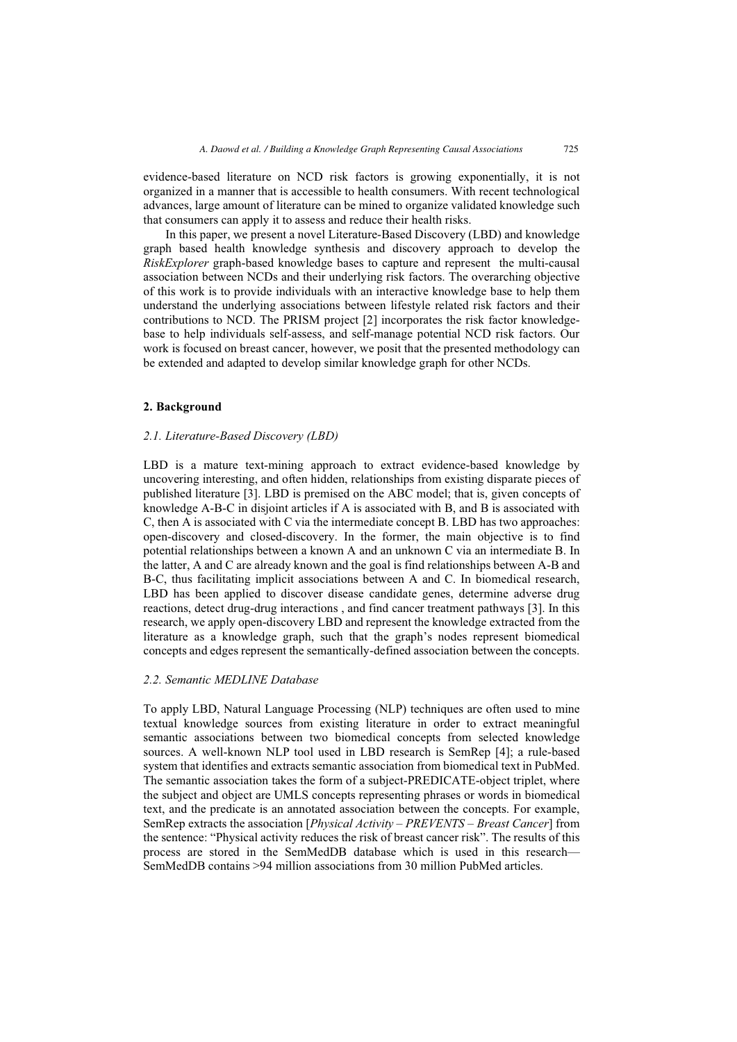evidence-based literature on NCD risk factors is growing exponentially, it is not organized in a manner that is accessible to health consumers. With recent technological advances, large amount of literature can be mined to organize validated knowledge such that consumers can apply it to assess and reduce their health risks.

In this paper, we present a novel Literature-Based Discovery (LBD) and knowledge graph based health knowledge synthesis and discovery approach to develop the RiskExplorer graph-based knowledge bases to capture and represent the multi-causal association between NCDs and their underlying risk factors. The overarching objective of this work is to provide individuals with an interactive knowledge base to help them understand the underlying associations between lifestyle related risk factors and their contributions to NCD. The PRISM project [2] incorporates the risk factor knowledgebase to help individuals self-assess, and self-manage potential NCD risk factors. Our work is focused on breast cancer, however, we posit that the presented methodology can be extended and adapted to develop similar knowledge graph for other NCDs.

#### 2. Background

#### 2.1. Literature-Based Discovery (LBD)

LBD is a mature text-mining approach to extract evidence-based knowledge by uncovering interesting, and often hidden, relationships from existing disparate pieces of published literature [3]. LBD is premised on the ABC model; that is, given concepts of knowledge A-B-C in disjoint articles if A is associated with B, and B is associated with C, then A is associated with C via the intermediate concept B. LBD has two approaches: open-discovery and closed-discovery. In the former, the main objective is to find potential relationships between a known A and an unknown C via an intermediate B. In the latter, A and C are already known and the goal is find relationships between A-B and B-C, thus facilitating implicit associations between A and C. In biomedical research, LBD has been applied to discover disease candidate genes, determine adverse drug reactions, detect drug-drug interactions , and find cancer treatment pathways [3]. In this research, we apply open-discovery LBD and represent the knowledge extracted from the literature as a knowledge graph, such that the graph's nodes represent biomedical concepts and edges represent the semantically-defined association between the concepts.

#### 2.2. Semantic MEDLINE Database

To apply LBD, Natural Language Processing (NLP) techniques are often used to mine textual knowledge sources from existing literature in order to extract meaningful semantic associations between two biomedical concepts from selected knowledge sources. A well-known NLP tool used in LBD research is SemRep [4]; a rule-based system that identifies and extracts semantic association from biomedical text in PubMed. The semantic association takes the form of a subject-PREDICATE-object triplet, where the subject and object are UMLS concepts representing phrases or words in biomedical text, and the predicate is an annotated association between the concepts. For example, SemRep extracts the association [*Physical Activity – PREVENTS – Breast Cancer*] from the sentence: "Physical activity reduces the risk of breast cancer risk". The results of this process are stored in the SemMedDB database which is used in this research— SemMedDB contains >94 million associations from 30 million PubMed articles.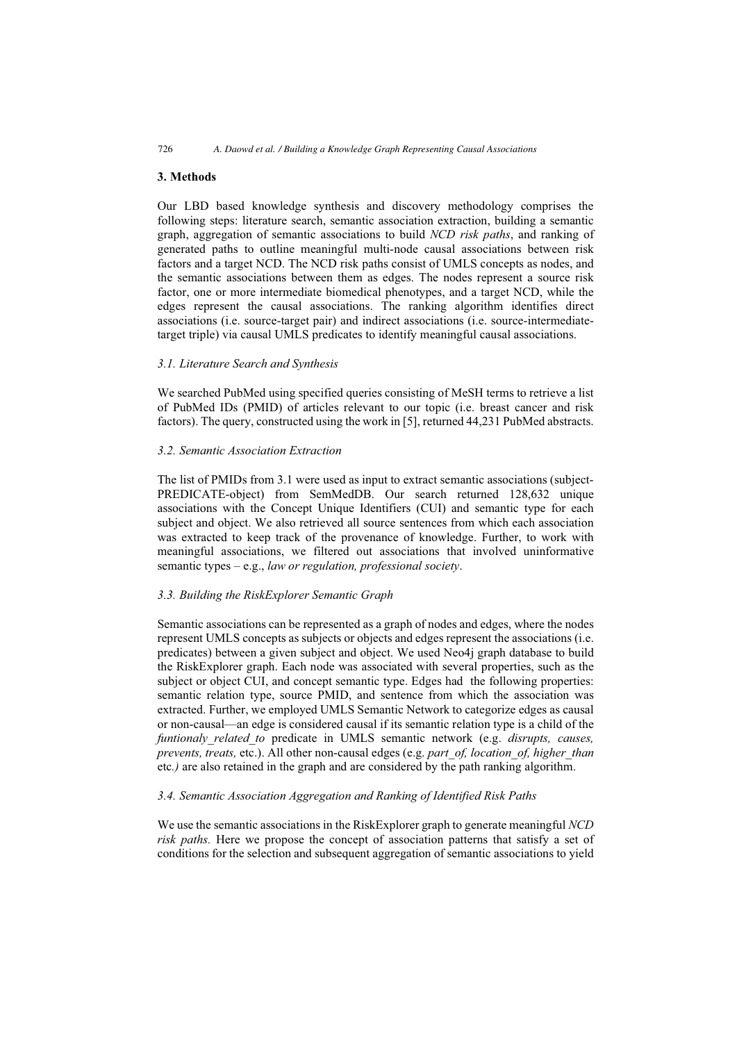# 3. Methods

Our LBD based knowledge synthesis and discovery methodology comprises the following steps: literature search, semantic association extraction, building a semantic graph, aggregation of semantic associations to build NCD risk paths, and ranking of generated paths to outline meaningful multi-node causal associations between risk factors and a target NCD. The NCD risk paths consist of UMLS concepts as nodes, and the semantic associations between them as edges. The nodes represent a source risk factor, one or more intermediate biomedical phenotypes, and a target NCD, while the edges represent the causal associations. The ranking algorithm identifies direct associations (i.e. source-target pair) and indirect associations (i.e. source-intermediatetarget triple) via causal UMLS predicates to identify meaningful causal associations.

## 3.1. Literature Search and Synthesis

We searched PubMed using specified queries consisting of MeSH terms to retrieve a list of PubMed IDs (PMID) of articles relevant to our topic (i.e. breast cancer and risk factors). The query, constructed using the work in [5], returned 44,231 PubMed abstracts.

## 3.2. Semantic Association Extraction

The list of PMIDs from 3.1 were used as input to extract semantic associations (subject-PREDICATE-object) from SemMedDB. Our search returned 128,632 unique associations with the Concept Unique Identifiers (CUI) and semantic type for each subject and object. We also retrieved all source sentences from which each association was extracted to keep track of the provenance of knowledge. Further, to work with meaningful associations, we filtered out associations that involved uninformative semantic types  $-e.g., law or regulation, professional society.$ 

## 3.3. Building the RiskExplorer Semantic Graph

Semantic associations can be represented as a graph of nodes and edges, where the nodes represent UMLS concepts as subjects or objects and edges represent the associations (i.e. predicates) between a given subject and object. We used Neo4j graph database to build the RiskExplorer graph. Each node was associated with several properties, such as the subject or object CUI, and concept semantic type. Edges had the following properties: semantic relation type, source PMID, and sentence from which the association was extracted. Further, we employed UMLS Semantic Network to categorize edges as causal or non-causal—an edge is considered causal if its semantic relation type is a child of the funtionaly related to predicate in UMLS semantic network (e.g. disrupts, causes, prevents, treats, etc.). All other non-causal edges (e.g. part\_of, location\_of, higher\_than etc.) are also retained in the graph and are considered by the path ranking algorithm.

# 3.4. Semantic Association Aggregation and Ranking of Identified Risk Paths

We use the semantic associations in the RiskExplorer graph to generate meaningful NCD risk paths. Here we propose the concept of association patterns that satisfy a set of conditions for the selection and subsequent aggregation of semantic associations to yield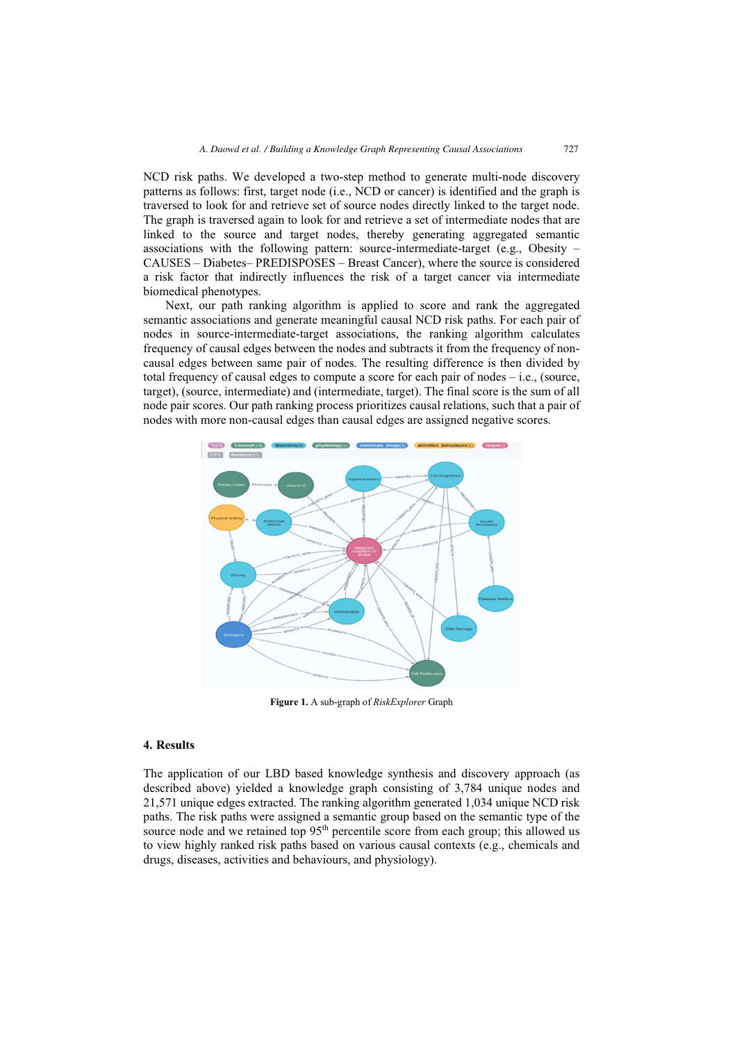NCD risk paths. We developed a two-step method to generate multi-node discovery patterns as follows: first, target node (i.e., NCD or cancer) is identified and the graph is traversed to look for and retrieve set of source nodes directly linked to the target node. The graph is traversed again to look for and retrieve a set of intermediate nodes that are linked to the source and target nodes, thereby generating aggregated semantic associations with the following pattern: source-intermediate-target (e.g., Obesity – CAUSES – Diabetes– PREDISPOSES – Breast Cancer), where the source is considered a risk factor that indirectly influences the risk of a target cancer via intermediate biomedical phenotypes.

Next, our path ranking algorithm is applied to score and rank the aggregated semantic associations and generate meaningful causal NCD risk paths. For each pair of nodes in source-intermediate-target associations, the ranking algorithm calculates frequency of causal edges between the nodes and subtracts it from the frequency of noncausal edges between same pair of nodes. The resulting difference is then divided by total frequency of causal edges to compute a score for each pair of nodes – i.e., (source, target), (source, intermediate) and (intermediate, target). The final score is the sum of all node pair scores. Our path ranking process prioritizes causal relations, such that a pair of nodes with more non-causal edges than causal edges are assigned negative scores.



Figure 1. A sub-graph of RiskExplorer Graph

#### 4. Results

The application of our LBD based knowledge synthesis and discovery approach (as described above) yielded a knowledge graph consisting of 3,784 unique nodes and 21,571 unique edges extracted. The ranking algorithm generated 1,034 unique NCD risk paths. The risk paths were assigned a semantic group based on the semantic type of the source node and we retained top  $95<sup>th</sup>$  percentile score from each group; this allowed us to view highly ranked risk paths based on various causal contexts (e.g., chemicals and drugs, diseases, activities and behaviours, and physiology).